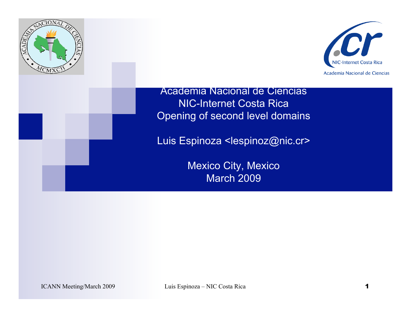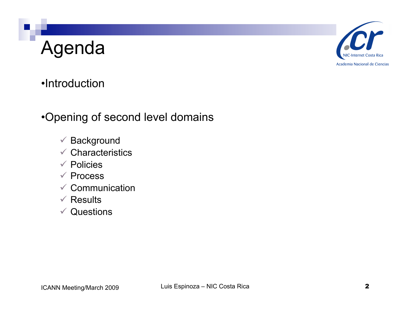## Agenda



### •Introduction

#### •Opening of second level domains

- $\checkmark$  Background
- $\checkmark$  Characteristics
- $\checkmark$  Policies
- $\checkmark$  Process
- $\checkmark$  Communication
- $\checkmark$  Results
- $\checkmark$  Questions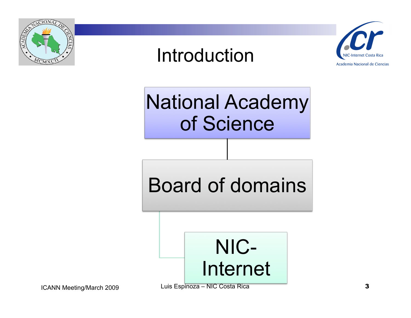

## Introduction



National Academy of Science

Board of domains



ICANN Meeting/March 2009 Luis Espinoza – NIC Costa Rica **3**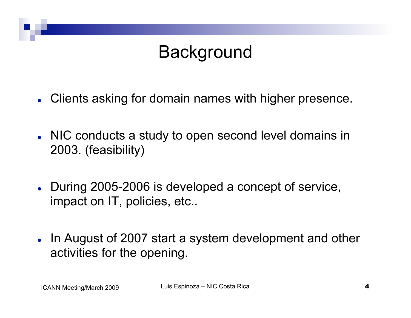## **Background**

- Clients asking for domain names with higher presence.
- NIC conducts a study to open second level domains in 2003. (feasibility)
- During 2005-2006 is developed a concept of service, impact on IT, policies, etc..
- In August of 2007 start a system development and other activities for the opening.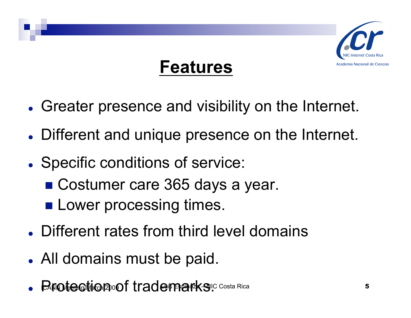

## **Features**

- Greater presence and visibility on the Internet.
- Different and unique presence on the Internet.
- Specific conditions of service:
	- Costumer care 365 days a year.
	- **Lower processing times.**
- Different rates from third level domains
- All domains must be paid.
- $\bullet$   $\blacksquare$ Finotection and trademarks. Luis  $\blacksquare$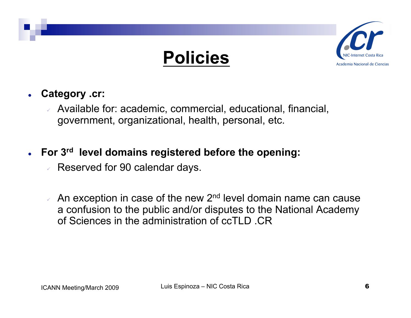



- **Category .cr:** 
	- Available for: academic, commercial, educational, financial, government, organizational, health, personal, etc.
- **For 3rd level domains registered before the opening:** 
	- Reserved for 90 calendar days.
	- An exception in case of the new 2<sup>nd</sup> level domain name can cause a confusion to the public and/or disputes to the National Academy of Sciences in the administration of ccTLD .CR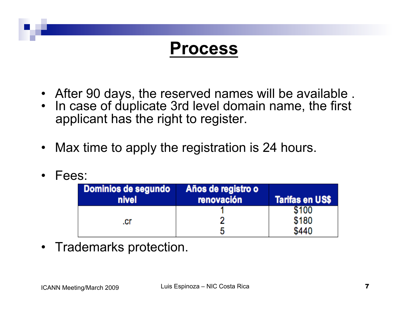## **Process**

- After 90 days, the reserved names will be available .
- In case of duplicate 3rd level domain name, the first applicant has the right to register.
- Max time to apply the registration is 24 hours.
- Fees:

| Dominios de segundo<br>nivel | Años de registro o<br>renovación | <b>Tarifas en US\$</b> |
|------------------------------|----------------------------------|------------------------|
|                              |                                  | 5100                   |
| .cr                          |                                  | \$180                  |
|                              |                                  | \$440                  |

• Trademarks protection.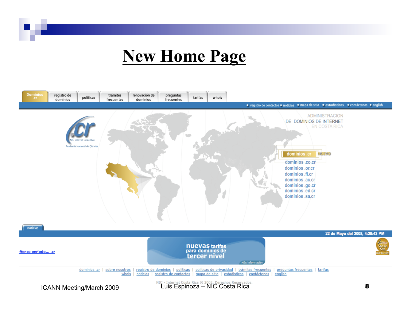### **New Home Page**

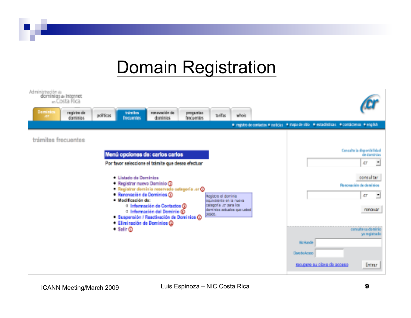## Domain Registration

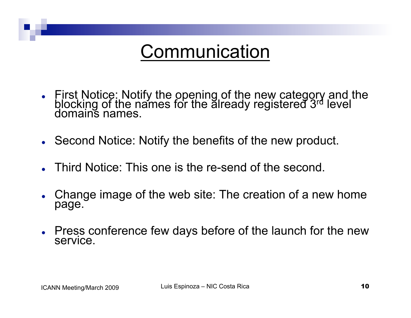## **Communication**

- First Notice: Notify the opening of the new category and the blocking of the names for the already registered 3rd level domains names.
- Second Notice: Notify the benefits of the new product.
- Third Notice: This one is the re-send of the second.
- Change image of the web site: The creation of a new home page.
- Press conference few days before of the launch for the new service.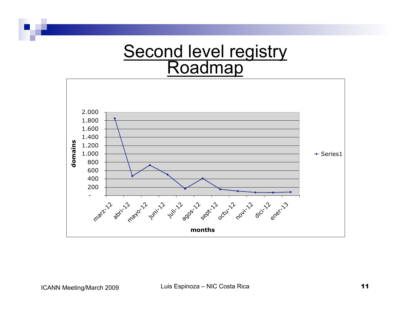

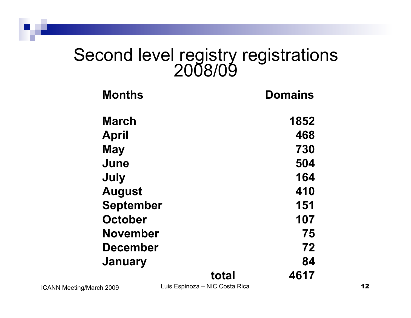# Second level registry registrations 2008/09

| <b>Months</b>    |       | <b>Domains</b> |
|------------------|-------|----------------|
| <b>March</b>     |       | 1852           |
| <b>April</b>     |       | 468            |
| <b>May</b>       |       | 730            |
| June             |       | 504            |
| July             |       | 164            |
| <b>August</b>    |       | 410            |
| <b>September</b> |       | 151            |
| <b>October</b>   |       | 107            |
| <b>November</b>  |       | 75             |
| <b>December</b>  |       | 72             |
| <b>January</b>   |       | 84             |
|                  | total | 4617           |

ICANN Meeting/March 2009 Luis Espinoza – NIC Costa Rica 12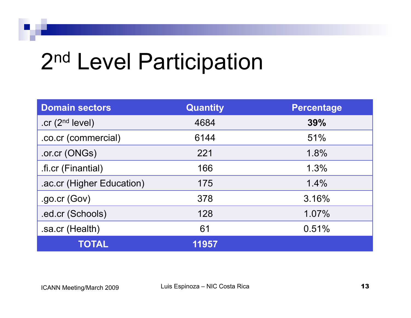## 2<sup>nd</sup> Level Participation

| <b>Domain sectors</b>     | <b>Quantity</b> | <b>Percentage</b> |
|---------------------------|-----------------|-------------------|
| .cr $(2nd level)$         | 4684            | 39%               |
| .co.cr (commercial)       | 6144            | 51%               |
| .or.cr (ONGs)             | 221             | 1.8%              |
| .fi.cr (Finantial)        | 166             | 1.3%              |
| .ac.cr (Higher Education) | 175             | 1.4%              |
| $.$ go.cr (Gov)           | 378             | 3.16%             |
| .ed.cr (Schools)          | 128             | 1.07%             |
| .sa.cr (Health)           | 61              | 0.51%             |
| <b>TOTAL</b>              | 11957           |                   |